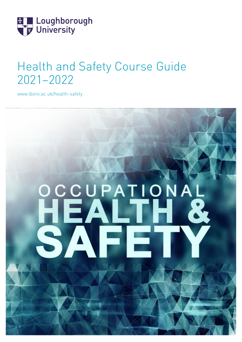

# Health and Safety Course Guide 2021–2022

[www.lboro.ac.uk/health-safety](http://www.lboro.ac.uk/health-safety)

# CCUPATION  $\mathsf{A}$ **S**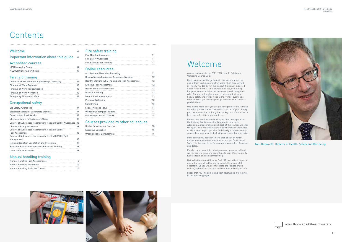

# **Contents**

#### Welcome 01

Important information about this guide 03

# Welcome

A warm welcome to the 2021-2022 Health, Safety and Wellbeing Course Guide

Most people expect to go home in the same state at the end of their working day as they were when they started it. Mostly you don't even think about it, it is just expected. Sadly, for some that is not always the case, something happens, someone is hurt or becomes unwell doing their role. Our aim at Loughborough is to ensure that your health, safety and wellbeing is at the front of everyone's' mind and that you always get to go home to your family as you left them.

One way to make sure you are properly protected is to make sure that you are trained to do what is asked of you. Simply put, the information in this guide is a key part of our drive to keep you safe – it is important to you.

Please take the time to talk with your line manager about the training that is needed to help you in your work. Additionally, please take a quick look at the courses we offer then just think if there are any areas where your knowledge or skills need a quick polish – find the right courses so that you are best equipped to deal with any issues that may arise.

If the course you need isn't here, then check on my.HR for the most up-to-date information, just put "Health and Safety" in the search box for a comprehensive list of courses and dates.

| 1 N            |
|----------------|
|                |
| 1 N            |
|                |
| 1 <sub>0</sub> |
|                |

Finally, if you cannot find what you need, give us a call and we will see if we can find something to suit. We are a pretty flexible team and can normally help!

Naturally there are still some Covid 19 restrictions in place and at the time of publishing this guide things are still uncertain. So you will see that there are flexible online training options to assist you and continue to keep you safe.

I hope that you find something both helpful and interesting in the following pages.





[www.lboro.ac.uk/health-safety](http://www.lboro.ac.uk/health-safety)

Neil Budworth, Director of Health, Safety and Wellbeing



#### Accredited courses

| <b>IOSH Managing Safely</b>       |    |
|-----------------------------------|----|
|                                   |    |
| <b>NEBOSH General Certificate</b> | 04 |

#### First aid training

| Duties of a First Aider at Loughborough University | 05 |
|----------------------------------------------------|----|
| First Aid at Work Beginner                         | 05 |
| <b>First Aid at Work Requalification</b>           | 05 |
| First Aid at Work Workshop                         | 06 |
| <b>Emergency First Aid at Work</b>                 | 06 |
|                                                    |    |

#### Occupational safety

| <b>Bio Safety Awareness</b>                                        | 07 |
|--------------------------------------------------------------------|----|
| <b>Biological Safety for Laboratory Workers</b>                    | 07 |
| <b>Construction Small Works</b>                                    | 07 |
| <b>Chemical Safety for Laboratory Users</b>                        | 07 |
| <b>Control of Substances Hazardous to Health (COSHH) Awareness</b> | 08 |
| <b>Chemical Safety Awareness</b>                                   | 08 |
| <b>Control of Substances Hazardous to Health (COSHH)</b>           |    |
| <b>Risk Assessment</b>                                             | 08 |
| Control of Substances Hazardous to Health (COSHH) Spill            |    |
| Management                                                         | 08 |
| Ionising Radiation Legislation and Protection                      | 09 |
| Radiation Protection Supervisor Refresher Training                 | 09 |
| <b>Laser Safety Awareness</b>                                      | 09 |
|                                                                    |    |

#### Manual handling training

#### Fire safety training

| <b>Fire Marshal Awareness</b>     |     |  |  |
|-----------------------------------|-----|--|--|
| <b>Fire Safety Awareness</b>      | 11  |  |  |
| <b>Fire Extinguisher Training</b> | -11 |  |  |
|                                   |     |  |  |

#### Online resources

| <b>Accident and Near Miss Reporting</b>                   | 12 |
|-----------------------------------------------------------|----|
| <b>Display Screen Equipment Assessors Training</b>        | 12 |
| <b>Healthy Working (DSE Training and Risk Assessment)</b> | 12 |
| <b>Effective Risk Assessment</b>                          | 12 |
| <b>Health and Safety Induction</b>                        | 12 |
| <b>Manual Handling</b>                                    | 13 |
| <b>Mental Health Awareness</b>                            | 13 |
| Personal Wellbeing                                        | 13 |
| Safe Driving                                              | 13 |
| Slips, Trips and Falls                                    | 14 |
| <b>Wellbeing Champion Training</b>                        | 14 |
| Returning to work COVID-19                                | 14 |
|                                                           |    |

#### Courses provided by other colleagues

| <b>Centre for Academic Practice</b> | 15  |  |
|-------------------------------------|-----|--|
| <b>Executive Education</b>          | 15  |  |
| Organisational Development          | 15. |  |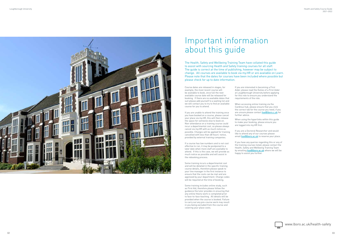



The Health, Safety and Wellbeing Training Team have collated this guide to assist with sourcing Health and Safety training courses for all staff. The guide is correct at the time of publishing, however may be subject to change. All courses are available to book via my.HR or are available on Learn. Please note that the dates for courses have been included where possible but please check for up to date information.

Course dates are released in stages, for example, the most recent course will be available to book, once full the next available course date will be released for booking. If there are no available dates that suit please add yourself to a waiting list and we will contact you to try to find an available course for you to attend.

If you are unable to attend the training once you have booked on a course, please cancel your place via my.HR, this will then release the space for someone else to book on. Non-attendance on a training course could incur a departmental cost, so please always cancel via my.HR with as much notice as possible. Charges will be applied for training cancelled with less than 48 hours' notice, provided by external training companies.

If you are a Doctoral Researcher and would like to attend any of our courses please email **[hse@lboro.ac.uk](mailto:hse%40lboro.ac.uk?subject=)** to reserve your place.

If a course has low numbers and is not cost effective to run, it may be postponed to a later date when more staff are available to attend. If this is the case, we will provide as much notice as possible and will assist in the rebooking process.

Some training incurs a departmental cost and will be detailed in the specific training course details, therefore please speak to your line manager in the first instance to ensure that the costs can be met and are approved by your department. Charge codes will be required at the time of booking.

Some training includes online study, such as First Aid, therefore please follow the guidance the tutor provides in ensuring that any online theory work is completed prior to face-to-face teaching. All details will be provided when the course is booked. Failure to carry out any pre-course work may result in you being excluded from the course and covering your place costs.

If you are interested in becoming a First Aider, please read the Duties of a First Aider at Loughborough University before applying for this role to ensure you understand the requirements of the role.

When accessing online training via the Cardinus hub, please ensure that you click the correct tab for the course you need, if you are unsure please contact hsealboro.c.uk for further advice.

When using the hyperlinks within this guide to make your booking, please ensure you are logged into my.HR first.

If you have any queries regarding this or any of the training courses listed, please contact the Health, Safety and Wellbeing Training Team by emailing **hse** alboro.ac.uk where we will be happy to assist you further.

# Important information about this guide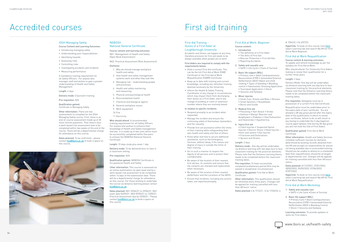#### IOSH Managing Safely

#### Course Content and Learning Outcomes:

A mandatory training requirement for all Safety Officers. For anyone who manages staff and wishes to gain a greater understanding of Health and Safety Management.

- Introducing managing safely
- Understanding your responsibilities
- Identifying hazards
- Assessing risks
- Controlling risks
- Investigating accidents and incidents
- Measuring performance

Length: 4 days

Delivery mode: Classroom training

Pre-requisites: N/A

#### **NEBOSH** National General Certificate

Qualification gained: Certificate in Managing Safely

Other information: There are two assessments to complete for the IOSH Managing Safety course. First, there is an end-of-course assessment made up of 30 multi-format questions. Then there's also a work-based risk assessment task to be completed within two weeks of the end of the course. There will be a departmental charge for attendance on this course.

Dates planned: To be confirmed – please contact hse alboro.ac.uk to book a space on this course.



 $\Omega$ 

## Accredited courses

#### Course content and learning outcomes:

NG1: Management of Health and Safety (Open Book Examination)

NG2: Practical Assessment (Risk Assessment)

#### Elements

- 1. Why we should manage workplace health and safety
- 2. How health and safety management systems work and what they look like
- 3. Managing risk understanding people and processes
- 4. Health and safety monitoring and measuring
- 5. Physical and psychological health
- 6. Musculoskeletal health
- 7. Chemical and biological agents
- 8. General workplace issues
- 9. Work equipment
- 10.Fire
- 11.Electricity

Who should attend: A recommended training requirement for all Safety Officers. For anyone who wishes to enhance their knowledge of Health and Safety management and law. It is made up of two units which must be successfully completed within five years to achieve the NEBOSH National General Certificate.

Length: 10 days study plus exam 1 day

Delivery mode: To be delivered face-to-face in a classroom setting

Pre-requisites: N/A

Qualification gained: NEBOSH Certificate in Occupational Health and Safety

Other information: This course is assessed via an online examination via open book and by a work-based risk assessment to be completed within 14 days of the examination date. There will be a departmental charge for attendance on this course. For those wishing to undertake the course via distance learning please contact [hse@lboro.ac.uk](mailto:hse%40lboro.ac.uk?subject=)

Dates planned: NG1 25/04/21 to 29/04/21, NG1 exam date 04/05/21, NG2 09/05/21 to 13/05/21, Practical Assessment due by 25/05/21. Please contact hse alboro.ac.uk to book a space on this course.

#### [www.lboro.ac.uk/health-safety](http://www.lboro.ac.uk/health-safety)

#### First Aid Training - Duties of a First Aider at Loughborough University

Accidents and illness can happen at any time, therefore provision for first aid needs to be always available when people are at work.

#### First Aiders are required to comply with the requirements below:

- Hold a current First Aid certificate. This can be the full First Aid at Work (FAW) Certificate or the First Aid at Work Requalification (FAWR) Certificate.
- Keep up to date with training and current knowledge, including any refresher training deemed necessary by the University.
- Inform the Health & Safety Training Coordinator of any change in circumstances which may impact them from discharging their duties as a First Aider, and of any change of building or room or extension number where they are routinely based.

#### In relation to specific incidents:

- Respond promptly to an incident when requested.
- Manage the incident and ensure the continuing safety of themselves, bystanders, and the casualty.
- Provide first aid assistance within the limits of their training while safeguarding their own health and safety and that of others.
- Know when and how to secure additional assistance, such as the Emergency Services, without delay, if the nature and degree of injury is outside the limits of their training.
- Act in such a manner to respect the dignity of all persons and to protect their confidentiality.
- Be aware of the location of their nearest first aid box, its contents and ensure that the contents are checked and replenished when necessary.
- Be aware of the location of their nearest defibrillator and the Locations of the AEDS.
- Ensure that incidents, including any actions taken, are reported promptly.

Resuscitation (CPR) • Automated External Defibrillation (AED) • Bleeding Control • Shock • Seizures and Epilepsy

# First aid training

#### First Aid at Work: Beginner

Course content: 1. Introduction

• The definition of a First Aider • The Aims of First Aid • Rescuer Protection • First Aid Kits • Reporting Accidents

2. Safety and casualty care • SAFE • Life Cycle • Chain of Survival

3. Basic life support (BSL) • Primary care • Adult Cardiopulmonary Resuscitation (CPR) • Automated External Defibrillation (AED) •Adult and child choking • Types of bleeding • Bleeding control • Haemostatic Dressing Application • Tourniquet Application • Shock • Seizures and Epilepsy

4. Minor injuries

• Small Cuts, Grazes and Bites • Bruises • Small Splinters • Nosebleeds

• Burns and Scolds 5. Medical first aid

> • Poisoning • Hart Attack • Stroke • Asthma • Allergic Reaction and Anaphylaxis • Diabetes • Heat Exhaustion and Heatstroke • Hypothermia

6. Injury first aid

• Chest Injuries • Suspected Spinal Injuries • Electric Shock • Head Injuries –

## minor and severe • Eye Injuries • Fractures and Dislocations • Sprains and Strains Length: 3 days

Delivery mode: One day will be undertaken via distance learning with two days face to face classroom training for the practical elements. Please note that the Distance Learning theory needs to be completed before the classroom training dates.

Pre-requisites: To have successfully completed probationary period (this may be waived in exceptional circumstances). Qualification gained: First Aid at Work Certificate

Other information: This qualification should be refreshed every three years. Charges will be applied for training cancelled with less than 48 hours' notice.

Dates planned: 6 & 7/12/21, 16 & 17/02/22, 6

#### & 7/04/22, 5 & 6/07/22.

Hyperlink: To book on this course click [here](https://myhr.lboro.ac.uk/tlive_ess/ess/index.html#/summary/careerdev/activity;a=F/0795721tr7/event/052748K5dQ), select Learning tab and search [My.HR](https://myhr.lboro.ac.uk/tlive_ess/ess/index.html#/disclaimer) for First Aid at Work Beginner.

#### First Aid at Work Requalification

Course content & learning outcomes: To update and refresh knowledge as per the syllabus for First Aid at Work.

Who should attend: For University First Aiders looking to renew their qualification for a further three years.

#### Length: 2 days

Delivery Mode: One day will be undertaken via distance learning with one day face to face classroom training for the practical elements. Please note that the Distance Learning theory needs to be completed before the classroom training dates.

Pre-requisites: Delegates must be in possession of a current First Aid Certificate.

Requalification must be undertaken prior to the expiry date of your certificate. You are allowed a 28-day grace period after the expiry date of the qualification in which to renew your certificate, failure to do so will result in you having to undertake the 3-day beginner course again (please note during 28-day grace you will not hold the title of First Aider).

Qualification gained: First Aid at Work Certificate

Other information: Health and Safety Services schedule sufficient courses for demand, determined by existing records obtained from my.HR and accepts no responsibility for places not being available due to unrecorded training. Should you be unable to attend on a scheduled date then requalification should be arranged at departmental cost. Charges will be applied for training cancelled with less than 48 hours' notice.

Dates planned: 01/12/2021, 27/01/2022, 30/03/2022, 05/05/2022, 07/06/2022, 07/07/2022

Hyperlink: To book on this course click [here](https://myhr.lboro.ac.uk/tlive_ess/ess/index.html#/summary/careerdev/activity), select Learning tab and search My.HR for First Aid at Work Requalification.

#### First Aid at Work Workshop

1. Safety and casualty care • SAFE • Life Cycle •Chain of Survival

#### 2. Basic life support (BSL) • Primary Care • Adult Cardiopulmonary

Learning outcomes: To provide updates to skills for First Aiders.

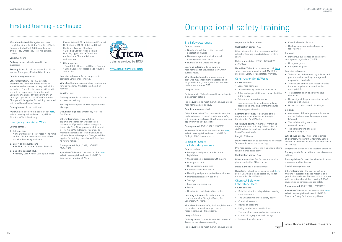

Resuscitation (CPR) • Automated External Defibrillation (AED) • Adult and Child Choking • Types of Bleeding • Bleeding Control • Haemostatic Dressing Application • Tourniquet Application • Shock • Seizures and Epilepsy

4. Minor injuries

• Small Cuts, Grazes and Bites • Bruises • Small Splinters • Nosebleeds • Burns and Scalds

Learning outcomes: To be competent in providing Emergency First Aid.

Who should attend: A mandatory requirement for sub wardens. Available to all staff on

request. Length: 1 day

Manager

Delivery mode: To be delivered face-to-face in

Hyperlink: To book on this course click [here](https://myhr.lboro.ac.uk/tlive_ess/ess/index.html#/summary/careerdev/activity), select Learning tab and search My.HR for

a classroom setting.

Pre-requisites: Approval from departmental

Qualification gained: Emergency First Aid

Certificate

Other information: There will be a department charge for attendance on this course. If you wish to be a recognised University First Aider, please book to attend a First Aid at Work Beginner course. To maintain accreditation, training should be refreshed every three years. Charges will be applied for training cancelled with less than

Hyperlink: To book on this course click [here](https://myhr.lboro.ac.uk/tlive_ess/ess/index.html#/summary/careerdev/activity), select Learning tab and search My.HR for First Aid at Work Workshop.

48 hours' notice.

Dates planned: 26/01/2022, 29/03/2022,

08/06/2022

Emergency First Aid at Work.

#### Who should attend: Delegates who have completed either the 3-day First Aid at Work Beginner, 2-day First Aid Requalification or the 1-day Emergency First Aid at Work course.

#### Length: 3 hours

Delivery mode: to be delivered in the classroom

Pre-requisites: To hold a current First Aid at work or Emergency First Aid Certificate.

#### Qualification gained: N/A

Hyperlink: To book on this course click [here](https://myhr.lboro.ac.uk/tlive_ess/ess/index.html#/summary/careerdev/activity), select Learning tab and search [My.HR](https://myhr.lboro.ac.uk/tlive_ess/ess/index.html#/disclaimer) for Biological Safety Awareness.

Other information: The HSE strongly recommends that First Aiders attend an annual refresher course to keep their skills up to date. The refresher course will provide you with an opportunity to practice and update your skills at any time during your three-year period as a qualified First Aider. Charges will be applied for training cancelled with less than 48 hours' notice.

Dates planned: To be confirmed

#### Emergency First Aid at Work

#### Course content:

- 1. Introduction
- The Definition of a First Aider The Aims of First Aid • Rescuer Protection • First Aid Kit • Reporting Accidents
- 2. Safety and casualty care • SAFE • Life Cycle • Chain of Survival
- 3. Basic life support (BSL) • Primary Care • Adult Cardiopulmonary

## First aid training - continued

#### www.lboro.ac.uk/health-safety



#### Bio Safety Awareness

#### Course content:

- Needles/Used sharps disposal and needlestick injuries
- Biological agents found within soil, drainage, and waterways
- Human/animal waste or sewage

Learning outcomes: To be aware of requirements for Biological Safety within current roles.

Who should attend: For any member of staff who may encounter biohazards such as grounds and gardens, domestic services maintenance teams, SDC.

#### Length: 1 hour

Delivery Mode: To be delivered face-to-face in a classroom setting.

Pre-requisites: To meet the who should attend requirements listed above.

#### Qualification gained: N/A

Other information: The course will cover the main biological risks and how to work safely with biological material. It will also provide an opportunity to ask questions.

#### Dates planned: 19/01/2022, 29/04/2022

#### Biological Safety for Laboratory Workers

## Course content:

- Biological and genetic modification legislation
- Classification of biological/GM material
- Principal hazards
- Risk assessment process
- Considerations before use
- Handling and person protective equipment
- Microbiological safety cabinets • Storage
- Emergency procedures
- Waste
- Disinfection and sterilisation routes

Learning outcomes: To understand the requirements for Biological Safety for Laboratory Workers.

Who should attend: Safety Officers, laboratory technicians, laboratory supervisors, researchers, and PhD students.

Length: 3 hours

Delivery mode: Can be delivered via Microsoft Teams or in a classroom setting.

Pre-requisites: To meet the who should attend

 $\Omega$ 

# Occupational safety training

requirements listed above.

Qualification gained: N/A

Other Information: It is recommended that refresher training is undertaken every five

years.

Dates planned: 24/11/2021, 09/02/2022,

27/04/2022

Hyperlink: To book on this course click [here](https://myhr.lboro.ac.uk/tlive_ess/ess/index.html#/summary/careerdev/activity), select Learning tab and search My.HR for Biological Safety for Laboratory Workers.

#### Construction Small Works

Course content: • Legal requirements

• University Policy and Code of Practice

• Roles and responsibilities of those identified

in the Policy

- Guidance on allowable works
- Risk assessments including identifying hazards and providing control measures
- Planning small works
- Learning outcomes: To be aware of the requirements for Health and Safety in Construction Small Works.
- Who should attend: A mandatory training requirement for all Safety Officers. For all staff involved in small works within their
- Delivery mode: Can be delivered via Microsoft Teams or in a classroom setting.
- Pre-requisites: To meet the who should attend requirements listed above.
	-

School/Department. Length: 2.5 hours

Qualification gained: N/A Other information: For further information please contact hse@lboro.ac.uk.

Dates planned: To be confirmed

Hyperlink: To book on this course click [here](https://myhr.lboro.ac.uk/tlive_ess/ess/index.html#/summary/careerdev/activity), select Learning tab and search [My.HR](https://myhr.lboro.ac.uk/tlive_ess/ess/index.html#/disclaimer) for Construction Small Works.

- 
- The university chemical safety policy
	-
- Chemical Safety for Laboratory Users Course content:
- Brief introduction to legislation covering
	- chemical safety
	- Chemical hazards
		-
	- Using local exhaust ventilations
	- The use of personal protective equipment
	-
	- Chemical segregation and storage • Incompatible chemicals

## • Routes of exposure

- 
- 
- 

- Chemical waste disposal
- Dealing with chemical spillages in laboratories

#### **Optional**

- Dangerous substances and explosive
- atmosphere regulations (DSEAR)
- Cryogenic gases
- Compressed gases

#### Learning outcomes:

- To be aware of the university policies and procedures for handling, storage and disposal of chemicals
- To be aware of their own responsibilities for ensuring chemicals are handled appropriately
- To understand how to safely handle chemicals
- Knowledge of the procedure for the safe storage of chemicals
- How to deal with chemical spillages

#### **Optional**

- Awareness of the dangerous substances and explosive atmosphere regulations (DSEAR)
- The safe handling and use of cryogenic gases
- The safe handling and use of compressed gases

Who should attend: This course is aimed at laboratory workers that routinely handle chemicals and have no equivalent experience or training.

Length: One day subject to sessions attended. Delivery mode: To be delivered in a classroom setting.

Pre-requisites: To meet the who should attend requirements listed above.

#### Qualification gained: N/A

Other information: The course will be a mixture of classroom based material and practical experience. The course is structured with the optional modules covering DSEAR, cryogenic and compressed gas safety.

Dates planned: 23/02/2022, 12/05/2022

Hyperlink: To book on this course click [here](https://myhr.lboro.ac.uk/tlive_ess/ess/index.html#/summary/careerdev/activity), select Learning tab and search My.HR for Chemical Safety for Laboratory Users.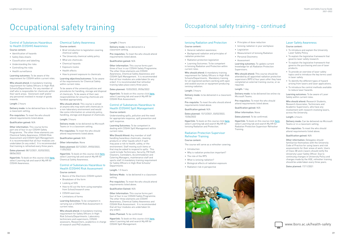#### Ionising Radiation and Protection

#### Course content:

- General radiation awareness
- Background radiation and principles of radiation protection
- Radiation protection legislation
- Learning Outcomes: To be competent in Ionising Radiation and Protection within current roles.

Who should attend: A mandatory training requirement for Safety Officers in High-Risk Schools/Departments. Mandatory training for all registered workers working with open and sealed sources or equipment producing ionising radiation.

#### Length: 3 hours

Delivery mode: to be delivered in a classroom setting.

Pre-requisite: To meet the who should attend requirements listed above.

• Personal Dosimetry • Assessment Learning outcomes: To update current knowledge for all Radiation Protection **Supervisors** Who should attend: This course should be

Qualification gained: N/A

#### Dates planned: 15/12/2021, 03/02/2022, 15/06/2022

Hyperlink: To book on this course click [here](https://myhr.lboro.ac.uk/tlive_ess/ess/index.html#/summary/careerdev/activity), select Learning tab and search My.HR for Ionising Radiation and Protection.

#### Radiation Protection Supervisor Refresher Training

#### Course content:

The course will serve as a refresher covering:

- Introduction
- Why is radiation protection important?
- The role of the RPS
- What is ionising radiation?
- Biological effects of radiation exposure
- Radiation risk in perspective



• Principles of dose reduction • Ionising radiation in your workplace

• Legislation

• Measurement of Ionising Radiation

attended by all appointed radiation protection supervisors (RPS's) four years after they have completed an external training course, or as

required.

Length: 1 day

Delivery mode: to be delivered live online via Microsoft Teams.

Pre-requisites: To meet the who should attend requirements listed above.

Qualification gained: N/A

Other information: None

Dates planned: To be confirmed.

Hyperlink: To book on this course click [here](https://myhr.lboro.ac.uk/tlive_ess/ess/index.html#/summary/careerdev/activity),

select Learning tab and search My.HR for Radiation Protection Supervisor Refresher



#### Laser Safety Awareness

Course content:

- To introduce and explain the University Laser Safety Policy.
- To explain the legislative framework that governs laser safety research.
- To explain the legislative framework that governs the purchasing and use of laser products.
- To provide an overview of laser safety topics and to introduce the key terms used in laser safety.
- To identify the different types of hazard arising from lasers and laser applications.
- To introduce the control methods available to reduce laser hazards.

Hyperlink: To book on this course click [here](https://myhr.lboro.ac.uk/tlive_ess/ess/index.html#/summary/careerdev/activity), select Learning tab and search My.HR for COSHH Awareness.

Learning objectives/outcomes: To be aware of the requirements for Chemical Safety within current roles.

> Learning outcomes: To be aware of Laser Safety within current roles.

Who should attend: Research Students, Research Associates, Technicians and Academic Supervisors, who have any involvement with research involving lasers, across the University.

Length: 4 hours

Delivery mode: Can be delivered via Microsoft Teams or in a classroom setting.

Pre-requisites: To meet the who should attend requirements listed above.

Qualification gained: N/A

Other information: Delegates should familiarise themselves with the University Code of Practice for using lasers and risk assessments for their areas of work. Users of Class 3B and 4 lasers should notify the University Laser Safety Officer. Due to continuing changes in University Policy and changes made by the HSE, refresher training should be undertaken every three years.

Dates planned: 17/11/2021



## Occupational safety training – continued

#### Control of Substances Hazardous to Health (COSHH) Awareness Course content:

Hyperlink: To book on this course click [here](https://myhr.lboro.ac.uk/tlive_ess/ess/index.html#/summary/careerdev/activity), select Learning tab and search My.HR for COSHH Risk Assessment.

- Identification of hazards
- Safety Data sheets
- Classification and labelling
- Understanding the risks
- Controlling the risks
- Health surveillance

Learning outcomes: To be aware of the requirement for COSHH within current roles.

Who should attend: A mandatory training requirement for Safety Officers in High-Risk Schools/Departments. For any member of staff who is responsible for chemicals within their work areas. Storeroom staff and/or any personnel involved in receipt of goods inwards.

#### Length: 2 hours

Delivery mode: to be delivered face-to-face in a classroom setting.

Pre-requisites: To meet the who should attend requirements listed above.

#### Qualification gained: N/A

Hyperlink: To book on this course click [here](https://myhr.lboro.ac.uk/tlive_ess/ess/index.html#/summary/careerdev/activity), select Learning tab and search My.HR for COSHH Spill Management.

Other information: This course forms part one of four in our COSHH Safety Programme. The other three elements are Chemical Safety Awareness, COSHH Risk Assessment and COSHH Spill Management. It is recommended that all four modules are undertaken (in any order). It is recommended that training is refreshed every three years.

Dates planned: 08/12/2021, 02/03/2022, 08/06/2022

#### Chemical Safety Awareness Course content:

- Brief introduction to legislation covering chemical safety
- The University chemical safety policy
- What are chemicals
- Chemical hazards
- Exposure routes
- Health effects
- How to prevent exposure to chemicals

To be aware of the university policies and procedures for handling, storage and disposal of chemicals. To be aware of their own responsibilities for ensuring chemicals are handled appropriately.

Who should attend: This course is aimed at anyone who may work with chemicals in a non-laboratory environment and would like some information on university policy, handling, storage and disposal of chemicals.

Length: 3 hours

Delivery mode: to be delivered via Microsoft Teams or in a classroom setting.

Pre-requisites: To meet the who should attend requirements listed above.

Qualification gained: N/A

Other information: None

Dates planned: 02/12/2021, 09/03/2022, 11/05/2022

Hyperlink: To book on this course click [here](https://myhr.lboro.ac.uk/tlive_ess/ess/index.html#/summary/careerdev/activity), select Learning tab and search My.HR for Chemical Safety Awareness.

#### Control of Substances Hazardous to Health (COSHH) Risk Assessment Course content:

- Basics of the Electronic COSHH system
- Breakdown of the form
- Looking at SDS
- How to fill out the form using examples from School/research area
- COSHH exercises
- Limitations of forms

Learning Outcomes: To be competent in carrying out a COSHH Risk Assessment in current roles.

Who should attend: A mandatory training requirement for Safety Officers in High-Risk Schools/Departments. Laboratory technicians and supervisors, COSHH assessors, Researchers, academics in charge of research and PhD students.

# Occupational safety training

#### Length: 2 hours

Delivery mode: to be delivered in a classroom setting.

Pre-requisites: To meet the who should attend requirements listed above.

#### Qualification gained: N/A

Other information: This course forms part three of four in our COSHH Safety Programme. The other three elements are COSHH Awareness, Chemical Safety Awareness and COSHH Spill Management. It is recommended that all four modules are undertaken (in any order). It is recommended that refresher training takes place every three years.

Dates planned: 15/03/2022, 09/06/2022

#### Control of Substances Hazardous to Health (COSHH) Spill Management Course content:

Understanding spills, pollution and the need for appropriate response, spill prevention and spill response.

Learning Outcomes: To be competent in dealing with COSHH Spill Management within current roles.

Who Should Attend: Any member of staff handling hazardous chemicals, cleaning products or other liquids which if spilt may pose a risk to health, safety, or the environment. Staff moving such items or that may be asked to respond to spills. This could include Technicians, Security, FM Staff, Cleaners, Caretakers, Accommodation and Catering Managers, maintenance staff and sports staff. A mandatory training requirement for Safety Officers in High-Risk Schools/ Departments

Length: 1.5 hours

Delivery Mode: to be delivered in a classroom setting

Pre-requisites: To meet the who should attend requirements listed above.

#### Qualification Gained: N/A

Other Information: This course forms part four of four in our COSHH Safety Programme. The other three elements are COSHH Awareness, Chemical Safety Awareness and COSHH Risk Assessment. It is recommended that all four modules are undertaken (in any order).

Dates Planned: To be confirmed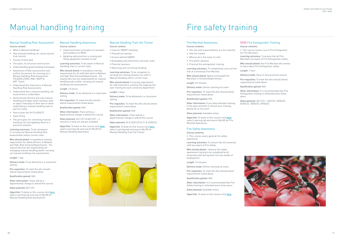# Fire safety training

#### Fire Marshal Awareness

#### Course contents:

- The role and responsibilities of a fire marshal
- How fire travels
	- What to do in the event of a fire
	- Fire alarm systems

• Practical fire extinguisher training Learning outcomes: To competently carry out the role of a University Fire Marshal.

Who should attend: Newly nominated Fire Marshals in Schools/Departments.

Hyperlink: To book on this course click [here](https://learn.lboro.ac.uk/enrol/index.php?id=23599), select Learning tab and search My.HR for Fire Marshal Awareness

Length: 45 minutes

Delivery mode: Online Learning via Learn

Pre-requisites: To meet the who should attend requirements listed above.

#### Qualification gained: N/A

Other information: If you have attended training in the past and wish to refresh your training, please do so via Learn

Dates planned: Available online

#### Fire Safety Awareness

#### Course contents:

• This course covers general fire safety awareness

Learning outcomes: To ensure that all university staff are aware of Fire Safety.

Who should attend: : General fire safety awareness training to be completed by all University staff during their first two weeks of employment.

Length: 15 minutes

Delivery mode: Online Learning via Learn

Pre-requisites: To meet the who should attend requirements listed above.

Qualification gained: N/A

Other information: It is recommended that Fire Safety training is refreshed every three years.

Dates planned: Available online

Hyperlink: To book on this course click [here](https://learn.lboro.ac.uk/course/search.php?q=Fire+Safety&areaids=core_course-course)



## Manual Handling Risk Assessment

#### Course content:

- What is Manual Handling?
- How manual handling can cause injuries (risk factors)
- Causes of back pain
- The spine, its structure and function
- Understanding good handling techniques
- Awareness of Risk assessments and outline the process for carrying out a Manual Handling Risk Assessment (TILE(O)/LITE(O), MAC, RAPP & ART Tools)
- Understand the importance of Manual Handling Risk Assessments
- Understand how a manual handling risk assessment is undertaken
- Demonstrate efficient and safe manual handling principles when moving a load or object manually on their own or when undertaking a manual handling task as part of a team
- How to plan the lift (FLUENCY)
- Team lifting
- The principles for controlling manual handling risk and applying these to a practical situation.

Hyperlink: To book on this course click [here](https://myhr.lboro.ac.uk/tlive_ess/ess/index.html#/summary/careerdev/activity), select Learning tab and search My.HR for Manual Handling Awareness.

Learning outcomes: To be competent in carrying out Manual Handling Risk Assessments within current roles.

Who should attend: A mandatory training requirement for Safety Officers in Medium and High-Risk Schools/Departments. For anyone who has the responsibility for managing manual handling and/or carrying out manual handling risk assessments.

#### Length: 1 day

Delivery mode: To be delivered in a classroom setting

Pre-requisites: To meet the who should attend requirements listed above.

Qualification gained: N/A

Other information: There will be a departmental change to attend this course

Dates planned: 03/11/21

Hyperlink: To book on this course click [here](https://myhr.lboro.ac.uk/tlive_ess/ess/index.html#/summary/careerdev/activity), select Learning tab and search My.HR for Manual Handling Risk Assessment.

#### Manual Handling Awareness Course content:

- Understand basic principles of causation
- and avoidance of MSDs • Adopting safe practices in moving and
- lifting equipment relevant to role.

Learning outcomes: To be aware of Manual Handling risks in current roles.

Who should attend: A mandatory training requirement for all staff who work in Medium and High-Risk Schools/Departments. For anyone who has the responsibility for manual handling tasks and/or carrying out manual handling risk assessments.

Length: 3.5 hours

Delivery mode: To be delivered in a classroom setting

Pre-requisites: To meet the who should attend requirements listed above.

Qualification gained: N/A

Other information: There will be a departmental change to attend this course

Dates planned: 24/11/21 & 06/12/21 – 4 sessions in total am and pm available

#### Manual Handling Train the Trainer

Course content:

- Case for SMART Handling
- Theoretical training
	- Science behind SMART
	- Developing task directories and task cards
	- Practical sessions
	- Observing and correcting handling

Learning outcomes: To be competent in carrying out training sessions for staff in Manual Handling within current roles.

Who should attend: A training requirement for staff selected to continue the ongoing end user training for each university department.

Length: 2 days

Delivery mode: To be delivered in a classroom setting.

Pre-requisites: To meet the who should attend requirements listed above.

Qualification gained: N/A

Other information: There will be a departmental change to attend this course

Dates planned: 24 & 25/01/22 & 21 & 22/02/22

Hyperlink: To book on this course click [here](https://myhr.lboro.ac.uk/tlive_ess/ess/index.html#/summary/careerdev/activity), select Learning tab and search My.HR for Manual Handling Train the Trainer.



# Manual handling training

#### NEW Fire Extinguisher Training

Course contents:

• This course covvers use of Fire Extinguisher

for Fire Marshal's

Learning outcomes: To ensure that all Fire Marshals are aware of Fire Extinguisher safety.

Who should attend: Any Fire Marshal who wishes to learn about Fire Extinguisher safety.

Length: 1 hour

Delivery mode: Face-to-face practical session

Pre-requisites: To meet the who should attend requirements listed above.

Qualification gained: N/A

Other information: It is recommended that Fire Extinguisher training is refreshed every three

years.

Dates planned: 24/11/21, 12/01/22, 23/02/22, 06/04/22, 18/05/22, 29/06/22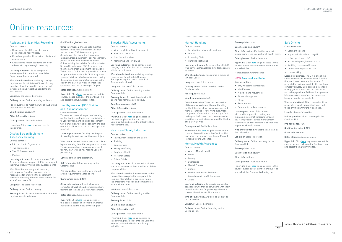#### Accident and Near Miss Reporting

#### Course content:

- Understand the difference between accidents and near misses.
- Know how you should report accidents and near misses.
- Know how to report accidents and near misses at Loughborough University.

Who should attend: A mandatory training requirement for all Safety Officers. For any member of staff involved in the process of investigating and reporting accidents and near misses.

Learning outcomes: To be competent in dealing with Accident and Near Miss Reporting within current roles.

Length: At the users' discretion

Delivery mode: Online Learning via Learn

Pre-requisites: To meet the who should attend requirements listed above.

Qualification gained: N/A

Other information: None

Dates planned: Available online

Hyperlink: Click [here](https://learn.lboro.ac.uk/enrol/index.php?id=20227) to gain access to this course.

#### Display Screen Equipment Assessors Training Course content:

- Introduction to Ergonomics
- The Regulations
- The DSE Assessment
- Posture

Learning outcomes: To be a competent DSE

Assessor who can support staff in carrying out their DSE Healthy Working Risk Assessments.

Who Should Attend: Any staff member, with approval from line manager, who is responsible for ensuring the department carries out Healthy Working Assessments for all staff who use a PC.

Length: at the users' discretion.

Delivery mode: Online training

Pre-requisites: To meet the who should attend requirements listed above.

#### Qualification gGained: N/A

Hyperlink: Click [here](https://www.lboro.ac.uk/services/health-safety/training/) to gain access to this course, please click onto the Cardinus Hub and select the Healthy Working tab.

Other information: Please note that this training is only for staff wishing to apply for the role of DSE Assessor for your department, this is not the training for Display Screen Equipment Risk Assessment, please refer to Healthy Working below. Online training is available for all nominated School/Departmental DSE Assessors under the Display Screen Equipment Regulations. To become a DSE Assessor you will also need to operate the Cardinus PACE Management system, details of which can be found during the course. Upon completion, please notify Health and Safety Services in order that system access can be arranged for you.

> Hyperlink: Click [here](https://www.lboro.ac.uk/services/health-safety/training/) to gain access to this course, please click onto the Cardinus Hub and select the Effective Risk Assessments tab.

Dates planned: Available online

Hyperlink: Click [here](https://www.lboro.ac.uk/services/health-safety/training/) to gain access to this course, please click onto the Cardinus Hub and select the DSE Assessors tab.

#### Healthy Working (DSE Training and Risk Assessment)

#### Course content:

Hyperlink: Click [here](https://www.lboro.ac.uk/services/health-safety/training/) to gain access to this course, please click onto the Cardinus Hub and select the Health and Safety Induction tab.

This course covers all aspects of working on Display Screen Equipment and is tailored to your environment. The risk assessment will highlight any areas for concern and give examples of how risks can be managed and resolved.

Learning outcomes: To safely use Display Screen Equipment to avoid illness or injury.

Who should attend: Anyone who uses a PC or laptop, working from the campus or at home. This is a mandatory training requirement for new starters and will require updating periodically.

Length: at the users' discretion.

Hyperlink: Click [here](https://www.lboro.ac.uk/services/health-safety/training/) to gain access to this course, please click onto the Cardinus Hub and select the Manual Handling or Manual Handling for the Office tab.

Delivery mode: Online learning via the Cardinus Hub

Pre-requisites: To meet the who should attend requirements listed above.

#### Qualification gained: N/A

Other information: All staff who use a computer at work should complete a short training course and DSE Risk Assessment.

Dates planned: Available online

#### Effective Risk Assessments

 $\bullet$  Sleep • Environment

Course content:

- Why complete a Risk Assessment
- How to assess risks
- How to control risks
- Monitoring and Reviewing

Learning outcomes: To be competent in carrying out an effective risk assessment within current roles.

Who should attend: A mandatory training requirement for all Safety Officers. For anyone required to carry out Risk Assessments at work.

Length: At the users' discretion

Delivery mode: Online learning via the Cardinus Hub

Pre-requisites: To meet the who should attend requirements listed above.

Qualification gained: N/A

Other information: None

Dates planned: Available online

#### Health and Safety Induction

Course content:

- Introduction to Health and Safety
- Training
- Emergencies
- Workplace Safety
- Employee Health
- Personal Safety
- Driver Safety

Learning outcomes: To ensure that all new starters are aware of their Health and Safety responsibilities.

Who should attend: All new starters to the University are required to complete this training. Completion is expected within the probationary period and compliments location inductions.

Length: at users' discretion

Delivery mode: Online learning via the Cardinus Hub

Pre-requisites: N/A

#### Qualification gained: N/A

Other information: N/A

Dates planned: Available online

#### Manual Handling

Course content:

- Introduction to Manual Handling • Injuries
- Assessing Risks
- Handling Technique

Who should attend: This course is aimed at low-risk users.

Length: at users' discretion

Delivery mode: Online learning via the Cardinus Hub

Pre-requisites: N/A

#### Qualification gained: N/A

Other information: There are two versions of the course available: Manual Handling for the Office for office-based workers and Manual Handling for everyone else. Upon completion of the online course, if you feel that a practical classroom training session would be relevant, please contact the Health and Safety Service.

#### Dates planned: Available online

Learning outcomes: To ensure that all staff who carry out Manual Handling tasks can do so safety. and select the

#### Mental Health Awareness

#### Course content:

- What is Mental Health
- Stress
- Anxiety

- Depression
- Mental Fitness
- Culture
- Alcohol and Health Problems
- Gambling and Health Problems

• Crisis

Learning outcomes: To provide support for colleagues who may be struggling with their mental health and for providing advice for current Mental Health First Aiders.

Who should attend: Available to all staff at

the University.

Length: at users' discretion

Delivery mode: Online Learning via the

Cardinus Hub

Pre-requisites: N/A

Qualification gained: N/A

Other information: For further support please contact the Occupational Health team.

- Dates planned: Available online
- Hyperlink: Click [here](https://www.lboro.ac.uk/services/health-safety/training/) to gain access to this course, please click onto the Cardinus Hub
- Mental Health Awareness tab.

#### NEW Personal Wellbeing

Course content:

• Mindfulnoss

• Why wellbeing is important

• Stress Management

- Nutrition and movement
- Community and core values
- Learning outcomes: This course
- will provide support in creating and maintaining optimal wellbeing through
- self-care practise, stress management
- techniques, and recommendations tailored to your work environment.
- Who should attend: Available to all staff at
- Length: at users' discretion
- Delivery mode: Online Learning via the

the University.

Cardinus Hub Pre-requisites: N/A

Qualification gained: N/A

Other information:

- Dates planned: Available online
- Hyperlink: Click [here](https://www.lboro.ac.uk/services/health-safety/training/) to gain access to this course, please click onto the Cardinus Hub and select the Personal Wellbeing tab.

#### Safe Driving

#### Course content:

- Setting the scene
- Is your vehicle safe and legal?
- Is low speed low risk?
- Increased speed, increased risk
- Avoiding common collisions
- Understanding what you see
- Lone working

Learning outcomes: The UK is one of the safest countries in which to drive. Despite this, each year there are thousands of preventable accidents and deaths involving company drivers. Safe driving is intended to help you to understand the risks to you and to help you identify the actions you can take as a driver to reduce the chances of being involved in an incident.

Who should attend: This course should be undertaken by all University drivers and those driving on University business.

Length: at users' discretion

Delivery mode: Online Learning via the Cardinus Hub

Pre-requisites: N/A

Qualification gained: N/A

Other information:

Dates planned: Available online

Hyperlink: Click [here](https://www.lboro.ac.uk/services/health-safety/training/) to gain access to this course, please click onto the Cardinus Hub and select the Safe Driving tab.



# Online resources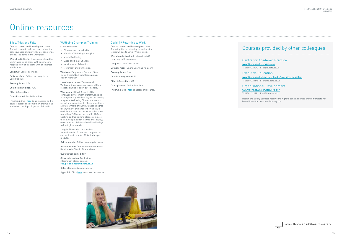#### Slips, Trips and Falls

Course content and Learning Outcomes: A short course to help you learn about the consequences and prevention of slips, trips and fall incidents in the workplace.

Who Should Attend: This course should be undertaken by all those with supervisory responsibility and anyone with an interest in this area.

Hyperlink: Click [here](https://www.lboro.ac.uk/services/health-safety/training/) to gain access to this course, please click onto the Cardinus Hub and select the Slips, Trips and Falls tab.

Length: at users' discretion

Delivery Mode: Online Learning via the Cardinus Hub

Pre-requisites: N/A

Qualification Gained: N/A

Other information:

Dates Planned: Available online

#### Wellbeing Champion Training

- Course content: • Welcome and Introduction
- What is a Wellbeing Champion
- Mental Wellbeing
- Sleep and Small Changes
- Nutrition and Relaxation
- Movement and Connection

Webinars: Fatigue and Burnout, Sleep, Men's Health Q&A with Occupational Health Manager

Learning outcomes: To ensure all Wellbeing Champions are aware of their responsibilities to carry out this role.

#### Who should attend: As part of the continued development of staff wellbeing at Loughborough University, we are looking to appoint Wellbeing Champions in each school and department. Please note this is a voluntary role and you will need to agree locally with your manager how this will work in practice, but the expectation is no more than 2-3 hours per month. Before booking on this training please complete the online application via this link: https:// www.lboro.ac.uk/internal/staff-wellbeing/ wellbeingframework/.

Length: The whole course takes approximately 2.5 hours to complete but can be done in blocks of 25 minutes per module.

Delivery mode: Online Learning via Learn

Pre-requisites: To meet the requirements listed in Who Should Attend above

Qualification gained: N/A

Other information: For further information please contact occupationalhealth@lboro.ac.uk

Dates planned: Available online

Hyperlink: Click [here](file:here) to access this course.



#### Covid-19 Returning to Work

Course content and learning outcomes: A short guide on returning to work as the lockdown due to Covid-19 is relaxed.

Who should attend: All University staff returning to the campus.

Length: at users' discretion

Delivery mode: Online Learning via Learn

Pre-requisites: N/A

Qualification gained: N/A

Other information: N/A

Dates planned: Available online

Hyperlink: Click [here](file:https://learn.lboro.ac.uk/enrol/index.php%3Fid%3D14766) to access this course.

# Online resources

## Courses provided by other colleagues

Centre for Academic Practice

[www.lboro.ac.uk/services/cap](http://www.lboro.ac.uk/services/cap) T: 01509 228042 E: [cap@lboro.ac.uk](mailto:tc%40lboro.ac.uk?subject=)

Executive Education [www.lboro.ac.uk/departments/sbe/executive-education](http://www.lboro.ac.uk/departments/sbe/executive-education) T: 01509 223140 E: [exec@lboro.ac.uk](mailto:exec%40lboro.ac.uk?subject=)

Organisational Development

[www.lboro.ac.uk/services/org-dev](http://www.lboro.ac.uk/services/org-dev) T: 01509 222381 E:o[d@lboro.ac.uk](mailto:sd%40lboro.ac.uk?subject=)

Health and Safety Services reserve the right to cancel courses should numbers not be sufficient for them to effectively run.